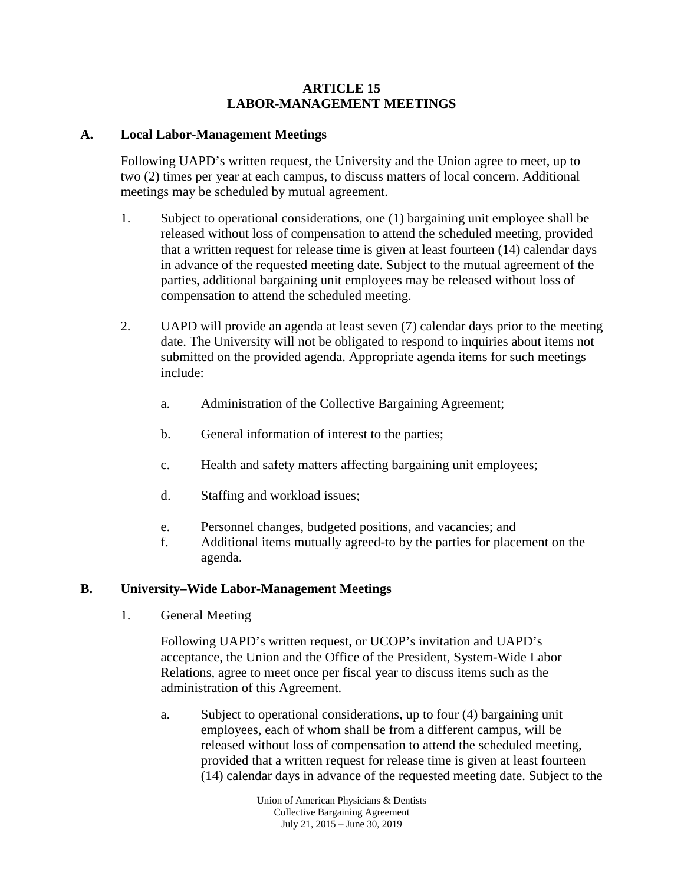## **ARTICLE 15 LABOR-MANAGEMENT MEETINGS**

## **A. Local Labor-Management Meetings**

Following UAPD's written request, the University and the Union agree to meet, up to two (2) times per year at each campus, to discuss matters of local concern. Additional meetings may be scheduled by mutual agreement.

- 1. Subject to operational considerations, one (1) bargaining unit employee shall be released without loss of compensation to attend the scheduled meeting, provided that a written request for release time is given at least fourteen (14) calendar days in advance of the requested meeting date. Subject to the mutual agreement of the parties, additional bargaining unit employees may be released without loss of compensation to attend the scheduled meeting.
- 2. UAPD will provide an agenda at least seven (7) calendar days prior to the meeting date. The University will not be obligated to respond to inquiries about items not submitted on the provided agenda. Appropriate agenda items for such meetings include:
	- a. Administration of the Collective Bargaining Agreement;
	- b. General information of interest to the parties;
	- c. Health and safety matters affecting bargaining unit employees;
	- d. Staffing and workload issues;
	- e. Personnel changes, budgeted positions, and vacancies; and
	- f. Additional items mutually agreed-to by the parties for placement on the agenda.

## **B. University–Wide Labor-Management Meetings**

1. General Meeting

Following UAPD's written request, or UCOP's invitation and UAPD's acceptance, the Union and the Office of the President, System-Wide Labor Relations, agree to meet once per fiscal year to discuss items such as the administration of this Agreement.

a. Subject to operational considerations, up to four (4) bargaining unit employees, each of whom shall be from a different campus, will be released without loss of compensation to attend the scheduled meeting, provided that a written request for release time is given at least fourteen (14) calendar days in advance of the requested meeting date. Subject to the